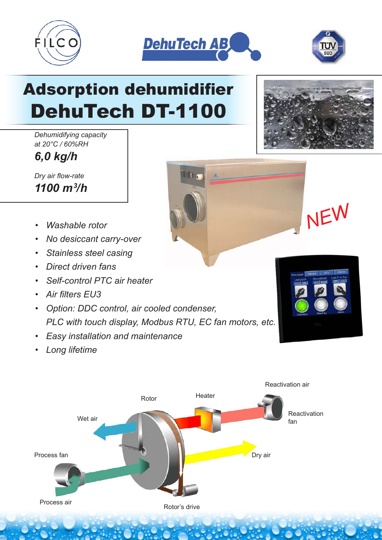





# Adsorption dehumidifier DehuTech DT-1100

*Dehumidifying capacity at 20°C / 60%RH*

*6,0 kg/h*

*Dry air flow-rate 1100 m3 /h*

- *Washable rotor*
- *No desiccant carry-over*
- *Stainless steel casing*
- *Direct driven fans*
- *Self-control PTC air heater*
- *Air filters EU3*
- *Option: DDC control, air cooled condenser, PLC with touch display, Modbus RTU, EC fan motors, etc.*
- *Easy installation and maintenance*
- *Long lifetime*



*NEW*